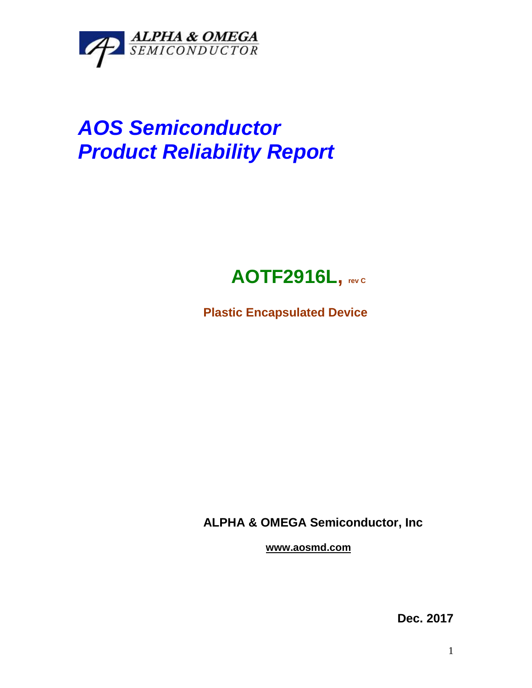

## *AOS Semiconductor Product Reliability Report*



**Plastic Encapsulated Device**

**ALPHA & OMEGA Semiconductor, Inc**

**www.aosmd.com**

**Dec. 2017**